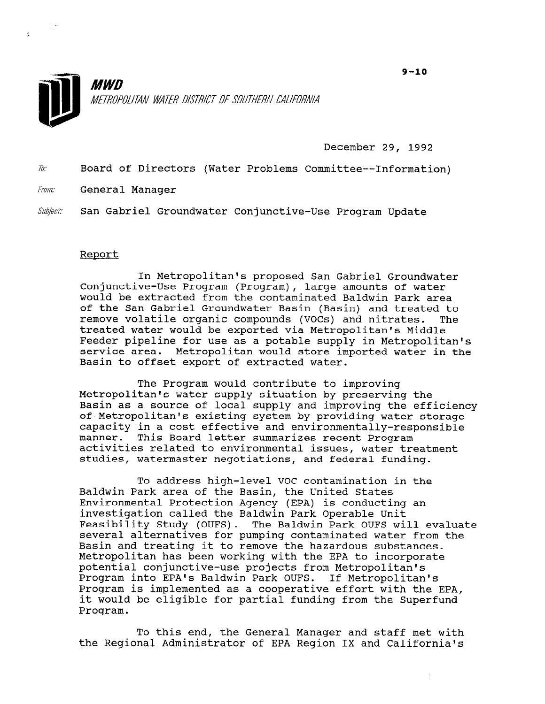

December 29, 1992

To: Board of Directors (Water Problems Committee--Information)

From: General Manager

Subject: San Gabriel Groundwater Conjunctive-Use Program Update

## Report

In Metropolitan's proposed San Gabriel Groundwater Conjunctive-Use Program (Program), large amounts of water would be extracted from the contaminated Baldwin Park area of the San Gabriel Groundwater Basin (Basin) and treated to remove volatile organic compounds (VOCs) and nitrates. The treated water would be exported via Metropolitan's Middle Feeder pipeline for use as a potable supply in Metropolitan's service area. Metropolitan would store imported water in the Basin to offset export of extracted water.

The Program would contribute to improving Metropolitan's water supply situation by preserving the Basin as a source of local supply and improving the efficiency of Metropolitan's existing system by providing water storage capacity in a cost effective and environmentally-responsible manner. This Board letter summarizes recent Program activities related to environmental issues, water treatment studies, watermaster negotiations, and federal funding.

To address high-level VOC contamination in the Baldwin Park area of the Basin, the United States Environmental Protection Agency (EPA) is conducting an investigation called the Baldwin Park Operable Unit Feasibility Study (OUFS). The Baldwin Park OUFS will evaluate reasibility study (OUFS). The Baldwin Park OUFS Will evalua<br>excessed alternatives for number contaminated water from the several alternatives for pumping contaminated water from the Basin and treating it to remove the hazardous substances. Metropolitan has been working with the EPA to incorporate potential conjunctive-use projects from Metropolitan's<br>Program into EPA's Baldwin Park OUFS. If Metropolitan's Program into EPA's Baluwin Park OUFS. If Metropolitan's<br>Program is in land worked with the EPA, program is implemented as a cooperative effort with the El it would be eligible for partial funding from the Superfund Program.

To this end, the General Manager and staff met with the General Manager and Staff metropology in the California's California's Inc. In the California's California<br>'S and California's California's California's California's California's California's California's California's

 $\frac{1}{2}$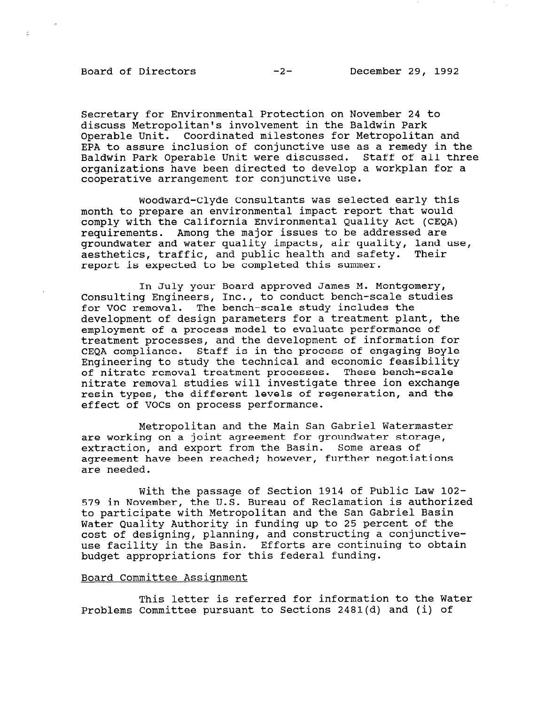## Board of Directors -2- December 29, 1992

 $\mathbb{R}^+$ 

Secretary for Environmental Protection on November 24 to discuss Metropolitan's involvement in the Baldwin Park Operable Unit. Coordinated milestones for Metropolitan and EPA to assure inclusion of conjunctive use as a remedy in the Baldwin Park Operable Unit were discussed. Staff of all three organizations have been directed to develop a workplan for a cooperative arrangement for conjunctive use.

Woodward-Clyde Consultants was selected early this month to prepare an environmental impact report that would comply with the California Environmental Quality Act (CEQA) requirements. Among the major issues to be addressed are groundwater and water quality impacts, air quality, land use, aesthetics, traffic, and public health and safety. Their report is expected to be completed this summer.

In July your Board approved James M. Montgomery, Consulting Engineers, Inc., to conduct bench-scale studies for VOC removal. The bench-scale study includes the development of design parameters for a treatment plant, the employment of a process model to evaluate performance of treatment processes, and the development of information for CEQA compliance. Staff is in the process of engaging Boyle Engineering to study the technical and economic feasibility of nitrate removal treatment processes. These bench-scale nitrate removal studies will investigate three ion exchange resin types, the different levels of regeneration, and the effect of VOCs on process performance.

Metropolitan and the Main San Gabriel Watermaster are working on a joint agreement for groundwater storage, extraction, and export from the Basin. Some areas of agreement have been reached; however, further negotiations are needed.

With the passage of Section 1914 of Public Law 102- 579 in November, the U.S. Bureau of Reclamation is authorized to participate with Metropolitan and the San Gabriel Basin Water Quality Authority in funding up to 25 percent of the water quality Authority in funding up to 25 percent of t cost of designing, planning, and constructing a conjunctive use facility in the Basin. Efforts are continuing to obtain budget appropriations for this federal funding.

## Board Committee Assiqnment

This letter is referred for information to the Water Problems Committee pursuant to Sections 2481(d) and (i) of